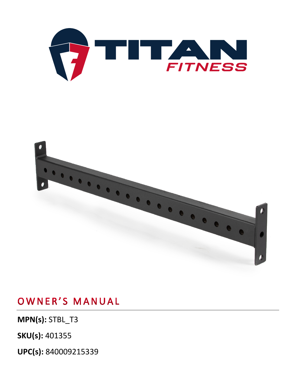**UPC(s):** 840009215339

**MPN(s):** STBL\_T3

**SKU(s):** 401355

OWNER'S MANUAL



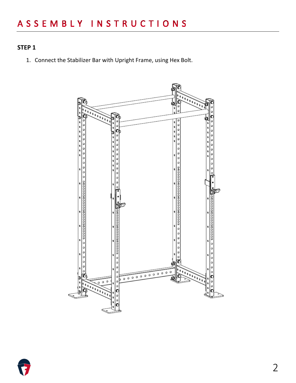#### **STEP 1**

1. Connect the Stabilizer Bar with Upright Frame, using Hex Bolt.